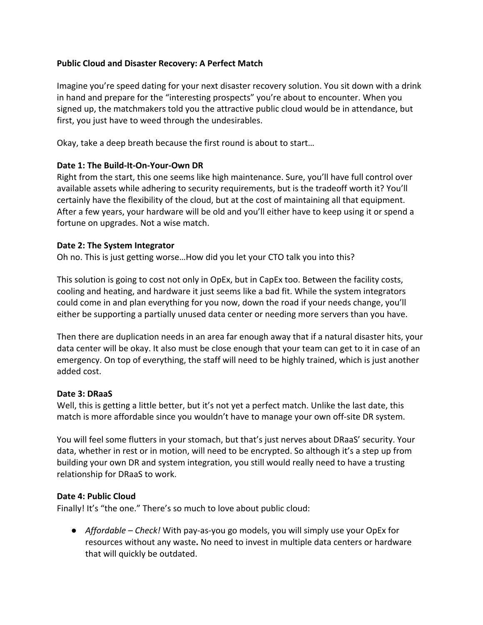# **Public Cloud and Disaster Recovery: A Perfect Match**

Imagine you're speed dating for your next disaster recovery solution. You sit down with a drink in hand and prepare for the "interesting prospects" you're about to encounter. When you signed up, the matchmakers told you the attractive public cloud would be in attendance, but first, you just have to weed through the undesirables.

Okay, take a deep breath because the first round is about to start...

#### Date 1: The Build-It-On-Your-Own DR

Right from the start, this one seems like high maintenance. Sure, you'll have full control over available assets while adhering to security requirements, but is the tradeoff worth it? You'll certainly have the flexibility of the cloud, but at the cost of maintaining all that equipment. After a few years, your hardware will be old and you'll either have to keep using it or spend a fortune on upgrades. Not a wise match.

#### **Date 2: The System Integrator**

Oh no. This is just getting worse...How did you let your CTO talk you into this?

This solution is going to cost not only in OpEx, but in CapEx too. Between the facility costs, cooling and heating, and hardware it just seems like a bad fit. While the system integrators could come in and plan everything for you now, down the road if your needs change, you'll either be supporting a partially unused data center or needing more servers than you have.

Then there are duplication needs in an area far enough away that if a natural disaster hits, your data center will be okay. It also must be close enough that your team can get to it in case of an emergency. On top of everything, the staff will need to be highly trained, which is just another added cost.

#### **Date 3: DRaaS**

Well, this is getting a little better, but it's not yet a perfect match. Unlike the last date, this match is more affordable since you wouldn't have to manage your own off-site DR system.

You will feel some flutters in your stomach, but that's just nerves about DRaaS' security. Your data, whether in rest or in motion, will need to be encrypted. So although it's a step up from building your own DR and system integration, you still would really need to have a trusting relationship for DRaaS to work.

# Date 4: Public Cloud

Finally! It's "the one." There's so much to love about public cloud:

● *Affordable – Check!* With pay-as-you go models, you will simply use your OpEx for resources without any waste. No need to invest in multiple data centers or hardware that will quickly be outdated.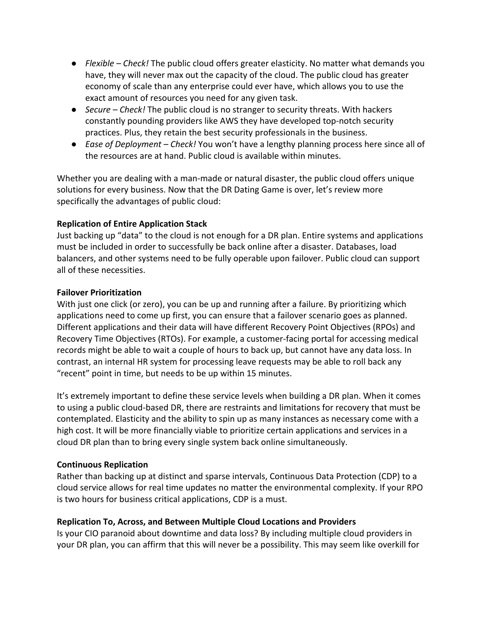- Flexible Check! The public cloud offers greater elasticity. No matter what demands you have, they will never max out the capacity of the cloud. The public cloud has greater economy of scale than any enterprise could ever have, which allows you to use the exact amount of resources you need for any given task.
- *Secure Check!* The public cloud is no stranger to security threats. With hackers constantly pounding providers like AWS they have developed top-notch security practices. Plus, they retain the best security professionals in the business.
- *Ease of Deployment Check!* You won't have a lengthy planning process here since all of the resources are at hand. Public cloud is available within minutes.

Whether you are dealing with a man-made or natural disaster, the public cloud offers unique solutions for every business. Now that the DR Dating Game is over, let's review more specifically the advantages of public cloud:

# **Replication of Entire Application Stack**

Just backing up "data" to the cloud is not enough for a DR plan. Entire systems and applications must be included in order to successfully be back online after a disaster. Databases, load balancers, and other systems need to be fully operable upon failover. Public cloud can support all of these necessities.

# **Failover Prioritization**

With just one click (or zero), you can be up and running after a failure. By prioritizing which applications need to come up first, you can ensure that a failover scenario goes as planned. Different applications and their data will have different Recovery Point Objectives (RPOs) and Recovery Time Objectives (RTOs). For example, a customer-facing portal for accessing medical records might be able to wait a couple of hours to back up, but cannot have any data loss. In contrast, an internal HR system for processing leave requests may be able to roll back any "recent" point in time, but needs to be up within 15 minutes.

It's extremely important to define these service levels when building a DR plan. When it comes to using a public cloud-based DR, there are restraints and limitations for recovery that must be contemplated. Elasticity and the ability to spin up as many instances as necessary come with a high cost. It will be more financially viable to prioritize certain applications and services in a cloud DR plan than to bring every single system back online simultaneously.

# **Continuous Replication**

Rather than backing up at distinct and sparse intervals, Continuous Data Protection (CDP) to a cloud service allows for real time updates no matter the environmental complexity. If your RPO is two hours for business critical applications, CDP is a must.

# **Replication To, Across, and Between Multiple Cloud Locations and Providers**

Is your CIO paranoid about downtime and data loss? By including multiple cloud providers in your DR plan, you can affirm that this will never be a possibility. This may seem like overkill for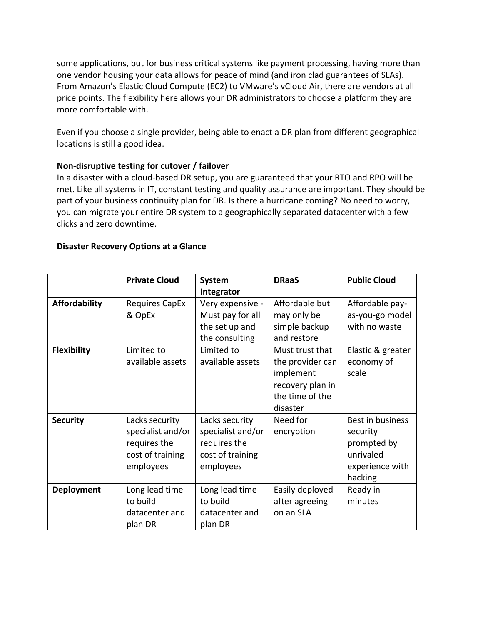some applications, but for business critical systems like payment processing, having more than one vendor housing your data allows for peace of mind (and iron clad guarantees of SLAs). From Amazon's Elastic Cloud Compute (EC2) to VMware's vCloud Air, there are vendors at all price points. The flexibility here allows your DR administrators to choose a platform they are more comfortable with.

Even if you choose a single provider, being able to enact a DR plan from different geographical locations is still a good idea.

# Non-disruptive testing for cutover / failover

In a disaster with a cloud-based DR setup, you are guaranteed that your RTO and RPO will be met. Like all systems in IT, constant testing and quality assurance are important. They should be part of your business continuity plan for DR. Is there a hurricane coming? No need to worry, you can migrate your entire DR system to a geographically separated datacenter with a few clicks and zero downtime. 

# **Disaster Recovery Options at a Glance**

|                      | <b>Private Cloud</b>                                                                 | System                                                                               | <b>DRaaS</b>                                                                                        | <b>Public Cloud</b>                                                                    |
|----------------------|--------------------------------------------------------------------------------------|--------------------------------------------------------------------------------------|-----------------------------------------------------------------------------------------------------|----------------------------------------------------------------------------------------|
|                      |                                                                                      | Integrator                                                                           |                                                                                                     |                                                                                        |
| <b>Affordability</b> | <b>Requires CapEx</b><br>& OpEx                                                      | Very expensive -<br>Must pay for all                                                 | Affordable but<br>may only be                                                                       | Affordable pay-<br>as-you-go model                                                     |
|                      |                                                                                      | the set up and<br>the consulting                                                     | simple backup<br>and restore                                                                        | with no waste                                                                          |
| <b>Flexibility</b>   | Limited to<br>available assets                                                       | Limited to<br>available assets                                                       | Must trust that<br>the provider can<br>implement<br>recovery plan in<br>the time of the<br>disaster | Elastic & greater<br>economy of<br>scale                                               |
| <b>Security</b>      | Lacks security<br>specialist and/or<br>requires the<br>cost of training<br>employees | Lacks security<br>specialist and/or<br>requires the<br>cost of training<br>employees | Need for<br>encryption                                                                              | Best in business<br>security<br>prompted by<br>unrivaled<br>experience with<br>hacking |
| <b>Deployment</b>    | Long lead time<br>to build<br>datacenter and<br>plan DR                              | Long lead time<br>to build<br>datacenter and<br>plan DR                              | Easily deployed<br>after agreeing<br>on an SLA                                                      | Ready in<br>minutes                                                                    |